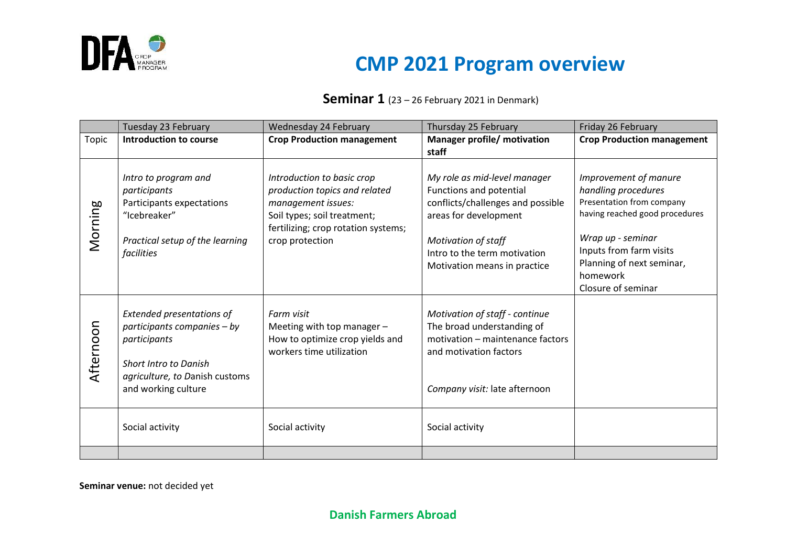

# **DFA**

#### **Seminar 1** (23 – 26 February 2021 in Denmark)

|           | Tuesday 23 February                                                                                                                 | Wednesday 24 February                                                                                                                                                      | Thursday 25 February                                                                                                                         | Friday 26 February                                                                                                               |
|-----------|-------------------------------------------------------------------------------------------------------------------------------------|----------------------------------------------------------------------------------------------------------------------------------------------------------------------------|----------------------------------------------------------------------------------------------------------------------------------------------|----------------------------------------------------------------------------------------------------------------------------------|
| Topic     | <b>Introduction to course</b>                                                                                                       | <b>Crop Production management</b>                                                                                                                                          | <b>Manager profile/ motivation</b><br>staff                                                                                                  | <b>Crop Production management</b>                                                                                                |
| Morning   | Intro to program and<br>participants<br>Participants expectations<br>"Icebreaker"<br>Practical setup of the learning                | Introduction to basic crop<br>production topics and related<br>management issues:<br>Soil types; soil treatment;<br>fertilizing; crop rotation systems;<br>crop protection | My role as mid-level manager<br>Functions and potential<br>conflicts/challenges and possible<br>areas for development<br>Motivation of staff | Improvement of manure<br>handling procedures<br>Presentation from company<br>having reached good procedures<br>Wrap up - seminar |
|           | facilities                                                                                                                          |                                                                                                                                                                            | Intro to the term motivation<br>Motivation means in practice                                                                                 | Inputs from farm visits<br>Planning of next seminar,<br>homework<br>Closure of seminar                                           |
| Afternoon | Extended presentations of<br>participants companies - by<br>participants<br>Short Intro to Danish<br>agriculture, to Danish customs | Farm visit<br>Meeting with top manager -<br>How to optimize crop yields and<br>workers time utilization                                                                    | Motivation of staff - continue<br>The broad understanding of<br>motivation - maintenance factors<br>and motivation factors                   |                                                                                                                                  |
|           | and working culture                                                                                                                 |                                                                                                                                                                            | Company visit: late afternoon                                                                                                                |                                                                                                                                  |
|           | Social activity                                                                                                                     | Social activity                                                                                                                                                            | Social activity                                                                                                                              |                                                                                                                                  |
|           |                                                                                                                                     |                                                                                                                                                                            |                                                                                                                                              |                                                                                                                                  |

**Seminar venue:** not decided yet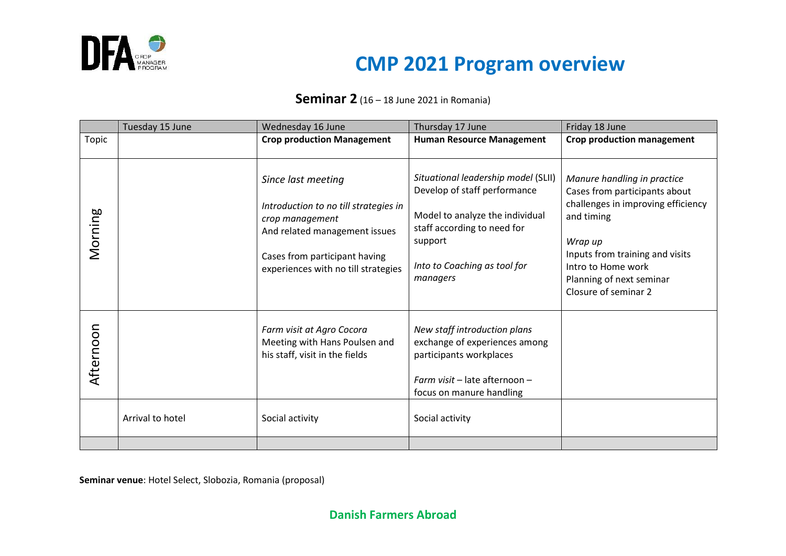

## **DFA**

#### **Seminar 2** (16 – 18 June 2021 in Romania)

|           | Tuesday 15 June  | Wednesday 16 June                                                                                                                                                                       | Thursday 17 June                                                                                                                                                                             | Friday 18 June                                                                                                                                                                                                                           |
|-----------|------------------|-----------------------------------------------------------------------------------------------------------------------------------------------------------------------------------------|----------------------------------------------------------------------------------------------------------------------------------------------------------------------------------------------|------------------------------------------------------------------------------------------------------------------------------------------------------------------------------------------------------------------------------------------|
| Topic     |                  | <b>Crop production Management</b>                                                                                                                                                       | <b>Human Resource Management</b>                                                                                                                                                             | <b>Crop production management</b>                                                                                                                                                                                                        |
| Morning   |                  | Since last meeting<br>Introduction to no till strategies in<br>crop management<br>And related management issues<br>Cases from participant having<br>experiences with no till strategies | Situational leadership model (SLII)<br>Develop of staff performance<br>Model to analyze the individual<br>staff according to need for<br>support<br>Into to Coaching as tool for<br>managers | Manure handling in practice<br>Cases from participants about<br>challenges in improving efficiency<br>and timing<br>Wrap up<br>Inputs from training and visits<br>Intro to Home work<br>Planning of next seminar<br>Closure of seminar 2 |
| Afternoon | Arrival to hotel | Farm visit at Agro Cocora<br>Meeting with Hans Poulsen and<br>his staff, visit in the fields<br>Social activity                                                                         | New staff introduction plans<br>exchange of experiences among<br>participants workplaces<br>Farm visit - late afternoon -<br>focus on manure handling<br>Social activity                     |                                                                                                                                                                                                                                          |
|           |                  |                                                                                                                                                                                         |                                                                                                                                                                                              |                                                                                                                                                                                                                                          |

**Seminar venue**: Hotel Select, Slobozia, Romania (proposal)